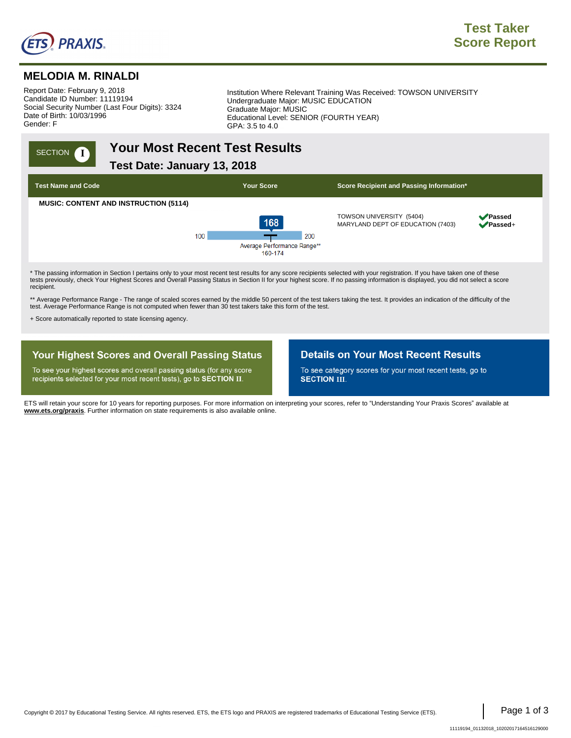

SECTION **1** 

## **MELODIA M. RINALDI**

Report Date: February 9, 2018. Candidate ID Number: 11119194. Social Security Number (Last Four Digits): 3324. Date of Birth: 10/03/1996. Gender: F.

Institution Where Relevant Training Was Received: TOWSON UNIVERSITY . Undergraduate Major: MUSIC EDUCATION . Graduate Major: MUSIC . Educational Level: SENIOR (FOURTH YEAR) GPA: 3.5 to 4.0

# **Your Most Recent Test Results.**

**Test Date: January 13, 2018.,**



tests previously, check Your Highest Scores and Overall Passing Status in Section II for your highest score. If no passing information is displayed, you did not select a score recipient.

\*\* Average Performance Range - The range of scaled scores earned by the middle 50 percent of the test takers taking the test. It provides an indication of the difficulty of the test. Average Performance Range is not computed when fewer than 30 test takers take this form of the test.

+ Score automatically reported to state licensing agency.

### **Your Highest Scores and Overall Passing Status**

To see your highest scores and overall passing status (for any score recipients selected for your most recent tests), go to SECTION II.

### **Details on Your Most Recent Results**

To see category scores for your most recent tests, go to **SECTION III.** 

ETS will retain your score for 10 years for reporting purposes. For more information on interpreting your scores, refer to "Understanding Your Praxis Scores" available at **www.ets.org/praxis**. Further information on state requirements is also available online.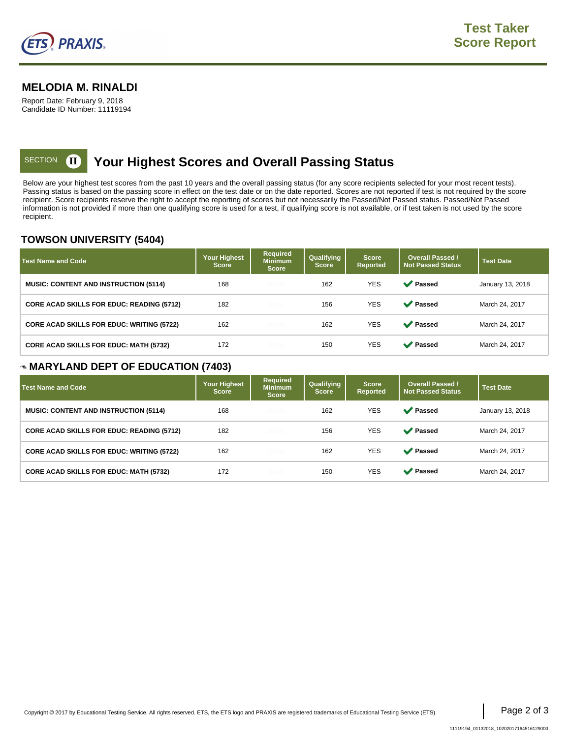

### **MELODIA M. RINALDI**

Report Date: February 9, 2018 Candidate ID Number: 11119194

#### **Your Highest Scores and Overall Passing Status,** SECTION **II**

Below are your highest test scores from the past 10 years and the overall passing status (for any score recipients selected for your most recent tests). Passing status is based on the passing score in effect on the test date or on the date reported. Scores are not reported if test is not required by the score recipient. Score recipients reserve the right to accept the reporting of scores but not necessarily the Passed/Not Passed status. Passed/Not Passed information is not provided if more than one qualifying score is used for a test, if qualifying score is not available, or if test taken is not used by the score recipient.

### **TOWSON UNIVERSITY (5404)**

| <b>Test Name and Code</b>                        | Your Highest<br><b>Score</b> | <b>Required</b><br><b>Minimum</b><br><b>Score</b> | Qualifying<br><b>Score</b> | <b>Score</b><br><b>Reported</b> | <b>Overall Passed /</b><br><b>Not Passed Status</b> | <b>Test Date</b> |
|--------------------------------------------------|------------------------------|---------------------------------------------------|----------------------------|---------------------------------|-----------------------------------------------------|------------------|
| <b>MUSIC: CONTENT AND INSTRUCTION (5114)</b>     | 168                          | -blank                                            | 162                        | <b>YES</b>                      | <b>◆</b> Passed                                     | January 13, 2018 |
| <b>CORE ACAD SKILLS FOR EDUC: READING (5712)</b> | 182                          | blank.                                            | 156                        | <b>YES</b>                      | <b>◆</b> Passed                                     | March 24, 2017   |
| <b>CORE ACAD SKILLS FOR EDUC: WRITING (5722)</b> | 162                          | blank                                             | 162                        | <b>YES</b>                      | <b>◆</b> Passed                                     | March 24, 2017   |
| <b>CORE ACAD SKILLS FOR EDUC: MATH (5732)</b>    | 172                          | <b>blank</b>                                      | 150                        | <b>YES</b>                      | <b>Passed</b>                                       | March 24, 2017   |

### **MARYLAND DEPT OF EDUCATION (7403)**

| <b>Test Name and Code</b>                        | <b>Your Highest</b><br><b>Score</b> | <b>Required</b><br><b>Minimum</b><br><b>Score</b> | Qualifying<br><b>Score</b> | <b>Score</b><br><b>Reported</b> | <b>Overall Passed /</b><br><b>Not Passed Status</b> | <b>Test Date</b> |
|--------------------------------------------------|-------------------------------------|---------------------------------------------------|----------------------------|---------------------------------|-----------------------------------------------------|------------------|
| <b>MUSIC: CONTENT AND INSTRUCTION (5114)</b>     | 168                                 | blank.                                            | 162                        | <b>YES</b>                      | <b>◆</b> Passed                                     | January 13, 2018 |
| <b>CORE ACAD SKILLS FOR EDUC: READING (5712)</b> | 182                                 | blank.                                            | 156                        | <b>YES</b>                      | <b>◆</b> Passed                                     | March 24, 2017   |
| <b>CORE ACAD SKILLS FOR EDUC: WRITING (5722)</b> | 162                                 | blank.                                            | 162                        | <b>YES</b>                      | <b>◆</b> Passed                                     | March 24, 2017   |
| <b>CORE ACAD SKILLS FOR EDUC: MATH (5732)</b>    | 172                                 | blank.                                            | 150                        | <b>YES</b>                      | <b>◆</b> Passed                                     | March 24, 2017   |